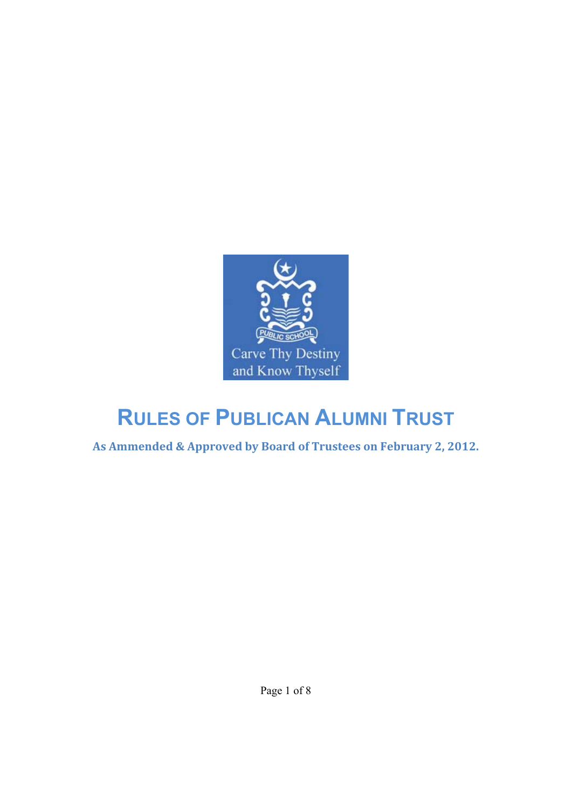

# **RULES OF PUBLICAN ALUMNI TRUST**

**As Ammended & Approved by Board of Trustees on February 2, 2012.**

Page 1 of 8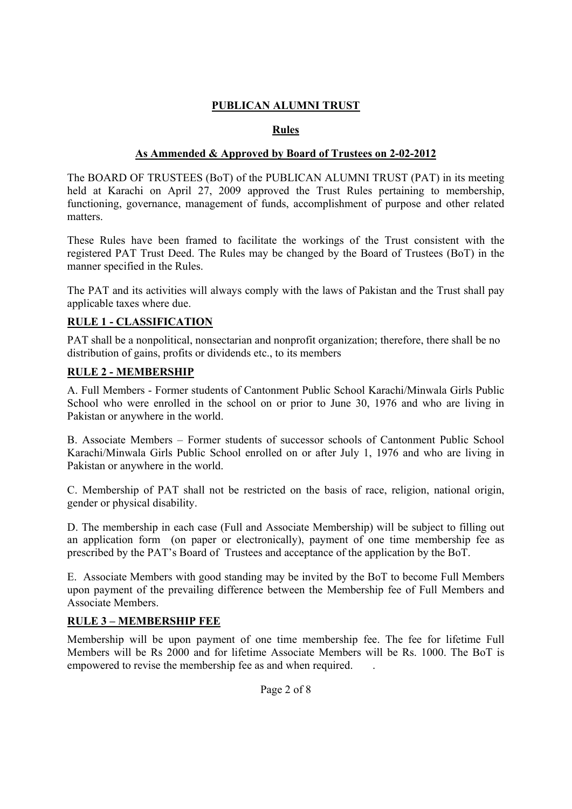## **PUBLICAN ALUMNI TRUST**

## **Rules**

## **As Ammended & Approved by Board of Trustees on 2-02-2012**

The BOARD OF TRUSTEES (BoT) of the PUBLICAN ALUMNI TRUST (PAT) in its meeting held at Karachi on April 27, 2009 approved the Trust Rules pertaining to membership, functioning, governance, management of funds, accomplishment of purpose and other related matters.

These Rules have been framed to facilitate the workings of the Trust consistent with the registered PAT Trust Deed. The Rules may be changed by the Board of Trustees (BoT) in the manner specified in the Rules.

The PAT and its activities will always comply with the laws of Pakistan and the Trust shall pay applicable taxes where due.

#### **RULE 1 - CLASSIFICATION**

PAT shall be a nonpolitical, nonsectarian and nonprofit organization; therefore, there shall be no distribution of gains, profits or dividends etc., to its members

#### **RULE 2 - MEMBERSHIP**

A. Full Members - Former students of Cantonment Public School Karachi/Minwala Girls Public School who were enrolled in the school on or prior to June 30, 1976 and who are living in Pakistan or anywhere in the world.

B. Associate Members – Former students of successor schools of Cantonment Public School Karachi/Minwala Girls Public School enrolled on or after July 1, 1976 and who are living in Pakistan or anywhere in the world.

C. Membership of PAT shall not be restricted on the basis of race, religion, national origin, gender or physical disability.

D. The membership in each case (Full and Associate Membership) will be subject to filling out an application form (on paper or electronically), payment of one time membership fee as prescribed by the PAT's Board of Trustees and acceptance of the application by the BoT.

E. Associate Members with good standing may be invited by the BoT to become Full Members upon payment of the prevailing difference between the Membership fee of Full Members and Associate Members.

#### **RULE 3 – MEMBERSHIP FEE**

Membership will be upon payment of one time membership fee. The fee for lifetime Full Members will be Rs 2000 and for lifetime Associate Members will be Rs. 1000. The BoT is empowered to revise the membership fee as and when required. .

Page 2 of 8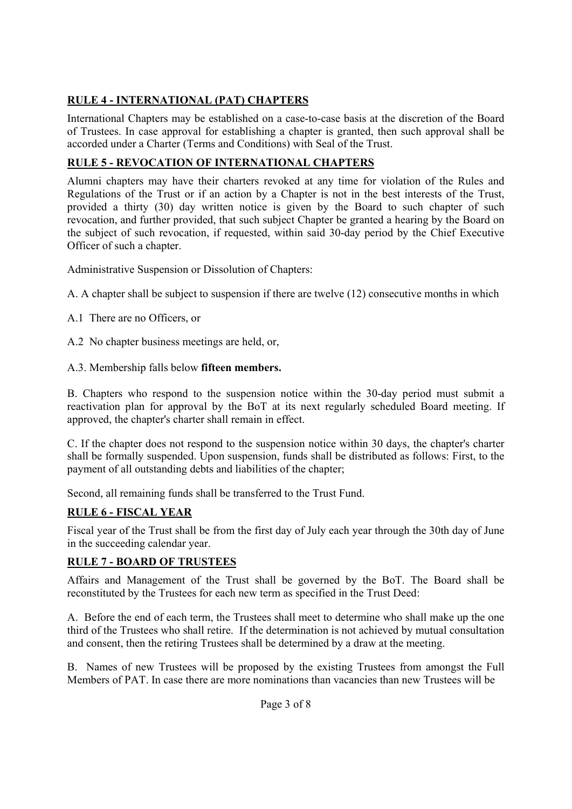# **RULE 4 - INTERNATIONAL (PAT) CHAPTERS**

International Chapters may be established on a case-to-case basis at the discretion of the Board of Trustees. In case approval for establishing a chapter is granted, then such approval shall be accorded under a Charter (Terms and Conditions) with Seal of the Trust.

# **RULE 5 - REVOCATION OF INTERNATIONAL CHAPTERS**

Alumni chapters may have their charters revoked at any time for violation of the Rules and Regulations of the Trust or if an action by a Chapter is not in the best interests of the Trust, provided a thirty (30) day written notice is given by the Board to such chapter of such revocation, and further provided, that such subject Chapter be granted a hearing by the Board on the subject of such revocation, if requested, within said 30-day period by the Chief Executive Officer of such a chapter.

Administrative Suspension or Dissolution of Chapters:

A. A chapter shall be subject to suspension if there are twelve (12) consecutive months in which

A.1 There are no Officers, or

A.2 No chapter business meetings are held, or,

A.3. Membership falls below **fifteen members.**

B. Chapters who respond to the suspension notice within the 30-day period must submit a reactivation plan for approval by the BoT at its next regularly scheduled Board meeting. If approved, the chapter's charter shall remain in effect.

C. If the chapter does not respond to the suspension notice within 30 days, the chapter's charter shall be formally suspended. Upon suspension, funds shall be distributed as follows: First, to the payment of all outstanding debts and liabilities of the chapter;

Second, all remaining funds shall be transferred to the Trust Fund.

## **RULE 6 - FISCAL YEAR**

Fiscal year of the Trust shall be from the first day of July each year through the 30th day of June in the succeeding calendar year.

## **RULE 7 - BOARD OF TRUSTEES**

Affairs and Management of the Trust shall be governed by the BoT. The Board shall be reconstituted by the Trustees for each new term as specified in the Trust Deed:

A. Before the end of each term, the Trustees shall meet to determine who shall make up the one third of the Trustees who shall retire. If the determination is not achieved by mutual consultation and consent, then the retiring Trustees shall be determined by a draw at the meeting.

B. Names of new Trustees will be proposed by the existing Trustees from amongst the Full Members of PAT. In case there are more nominations than vacancies than new Trustees will be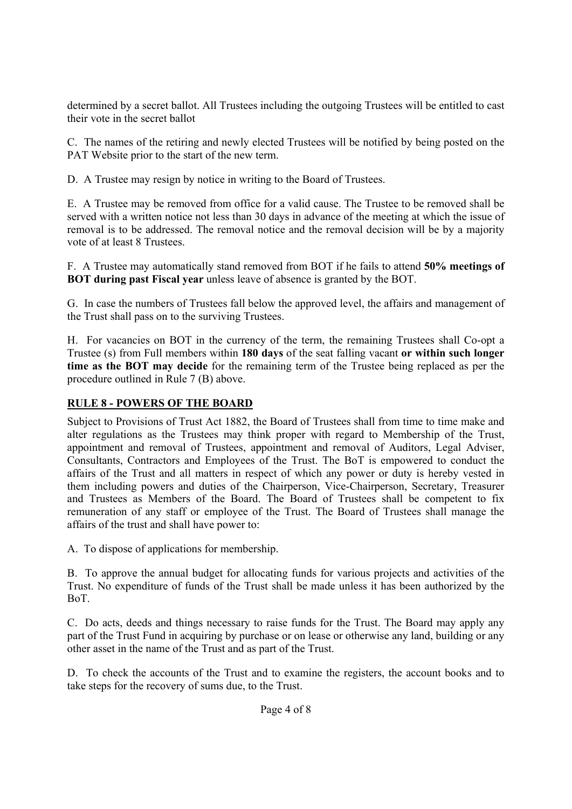determined by a secret ballot. All Trustees including the outgoing Trustees will be entitled to cast their vote in the secret ballot

C. The names of the retiring and newly elected Trustees will be notified by being posted on the PAT Website prior to the start of the new term.

D. A Trustee may resign by notice in writing to the Board of Trustees.

E. A Trustee may be removed from office for a valid cause. The Trustee to be removed shall be served with a written notice not less than 30 days in advance of the meeting at which the issue of removal is to be addressed. The removal notice and the removal decision will be by a majority vote of at least 8 Trustees.

F. A Trustee may automatically stand removed from BOT if he fails to attend **50% meetings of BOT during past Fiscal year** unless leave of absence is granted by the BOT.

G. In case the numbers of Trustees fall below the approved level, the affairs and management of the Trust shall pass on to the surviving Trustees.

H. For vacancies on BOT in the currency of the term, the remaining Trustees shall Co-opt a Trustee (s) from Full members within **180 days** of the seat falling vacant **or within such longer time as the BOT may decide** for the remaining term of the Trustee being replaced as per the procedure outlined in Rule 7 (B) above.

## **RULE 8 - POWERS OF THE BOARD**

Subject to Provisions of Trust Act 1882, the Board of Trustees shall from time to time make and alter regulations as the Trustees may think proper with regard to Membership of the Trust, appointment and removal of Trustees, appointment and removal of Auditors, Legal Adviser, Consultants, Contractors and Employees of the Trust. The BoT is empowered to conduct the affairs of the Trust and all matters in respect of which any power or duty is hereby vested in them including powers and duties of the Chairperson, Vice-Chairperson, Secretary, Treasurer and Trustees as Members of the Board. The Board of Trustees shall be competent to fix remuneration of any staff or employee of the Trust. The Board of Trustees shall manage the affairs of the trust and shall have power to:

A. To dispose of applications for membership.

B. To approve the annual budget for allocating funds for various projects and activities of the Trust. No expenditure of funds of the Trust shall be made unless it has been authorized by the BoT.

C. Do acts, deeds and things necessary to raise funds for the Trust. The Board may apply any part of the Trust Fund in acquiring by purchase or on lease or otherwise any land, building or any other asset in the name of the Trust and as part of the Trust.

D. To check the accounts of the Trust and to examine the registers, the account books and to take steps for the recovery of sums due, to the Trust.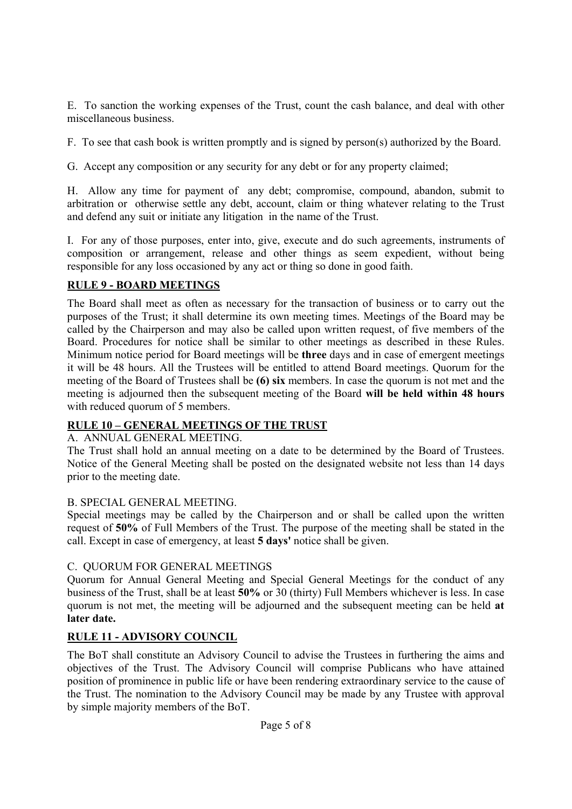E. To sanction the working expenses of the Trust, count the cash balance, and deal with other miscellaneous business.

F. To see that cash book is written promptly and is signed by person(s) authorized by the Board.

G. Accept any composition or any security for any debt or for any property claimed;

H. Allow any time for payment of any debt; compromise, compound, abandon, submit to arbitration or otherwise settle any debt, account, claim or thing whatever relating to the Trust and defend any suit or initiate any litigation in the name of the Trust.

I. For any of those purposes, enter into, give, execute and do such agreements, instruments of composition or arrangement, release and other things as seem expedient, without being responsible for any loss occasioned by any act or thing so done in good faith.

#### **RULE 9 - BOARD MEETINGS**

The Board shall meet as often as necessary for the transaction of business or to carry out the purposes of the Trust; it shall determine its own meeting times. Meetings of the Board may be called by the Chairperson and may also be called upon written request, of five members of the Board. Procedures for notice shall be similar to other meetings as described in these Rules. Minimum notice period for Board meetings will be **three** days and in case of emergent meetings it will be 48 hours. All the Trustees will be entitled to attend Board meetings. Quorum for the meeting of the Board of Trustees shall be **(6) six** members. In case the quorum is not met and the meeting is adjourned then the subsequent meeting of the Board **will be held within 48 hours** with reduced quorum of 5 members.

## **RULE 10 – GENERAL MEETINGS OF THE TRUST**

#### A. ANNUAL GENERAL MEETING.

The Trust shall hold an annual meeting on a date to be determined by the Board of Trustees. Notice of the General Meeting shall be posted on the designated website not less than 14 days prior to the meeting date.

#### B. SPECIAL GENERAL MEETING.

Special meetings may be called by the Chairperson and or shall be called upon the written request of **50%** of Full Members of the Trust. The purpose of the meeting shall be stated in the call. Except in case of emergency, at least **5 days'** notice shall be given.

#### C. QUORUM FOR GENERAL MEETINGS

Quorum for Annual General Meeting and Special General Meetings for the conduct of any business of the Trust, shall be at least **50%** or 30 (thirty) Full Members whichever is less. In case quorum is not met, the meeting will be adjourned and the subsequent meeting can be held **at later date.**

## **RULE 11 - ADVISORY COUNCIL**

The BoT shall constitute an Advisory Council to advise the Trustees in furthering the aims and objectives of the Trust. The Advisory Council will comprise Publicans who have attained position of prominence in public life or have been rendering extraordinary service to the cause of the Trust. The nomination to the Advisory Council may be made by any Trustee with approval by simple majority members of the BoT.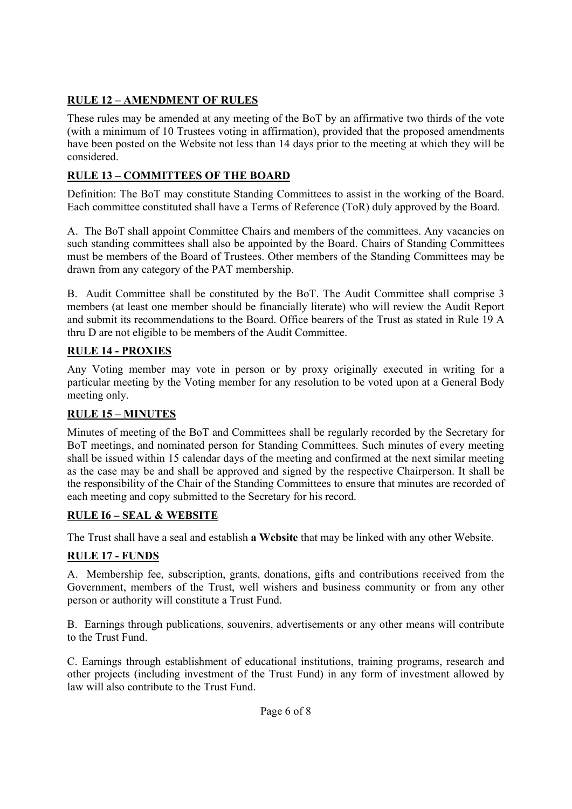# **RULE 12 – AMENDMENT OF RULES**

These rules may be amended at any meeting of the BoT by an affirmative two thirds of the vote (with a minimum of 10 Trustees voting in affirmation), provided that the proposed amendments have been posted on the Website not less than 14 days prior to the meeting at which they will be considered.

# **RULE 13 – COMMITTEES OF THE BOARD**

Definition: The BoT may constitute Standing Committees to assist in the working of the Board. Each committee constituted shall have a Terms of Reference (ToR) duly approved by the Board.

A. The BoT shall appoint Committee Chairs and members of the committees. Any vacancies on such standing committees shall also be appointed by the Board. Chairs of Standing Committees must be members of the Board of Trustees. Other members of the Standing Committees may be drawn from any category of the PAT membership.

B. Audit Committee shall be constituted by the BoT. The Audit Committee shall comprise 3 members (at least one member should be financially literate) who will review the Audit Report and submit its recommendations to the Board. Office bearers of the Trust as stated in Rule 19 A thru D are not eligible to be members of the Audit Committee.

## **RULE 14 - PROXIES**

Any Voting member may vote in person or by proxy originally executed in writing for a particular meeting by the Voting member for any resolution to be voted upon at a General Body meeting only.

## **RULE 15 – MINUTES**

Minutes of meeting of the BoT and Committees shall be regularly recorded by the Secretary for BoT meetings, and nominated person for Standing Committees. Such minutes of every meeting shall be issued within 15 calendar days of the meeting and confirmed at the next similar meeting as the case may be and shall be approved and signed by the respective Chairperson. It shall be the responsibility of the Chair of the Standing Committees to ensure that minutes are recorded of each meeting and copy submitted to the Secretary for his record.

## **RULE I6 – SEAL & WEBSITE**

The Trust shall have a seal and establish **a Website** that may be linked with any other Website.

# **RULE 17 - FUNDS**

A. Membership fee, subscription, grants, donations, gifts and contributions received from the Government, members of the Trust, well wishers and business community or from any other person or authority will constitute a Trust Fund.

B. Earnings through publications, souvenirs, advertisements or any other means will contribute to the Trust Fund.

C. Earnings through establishment of educational institutions, training programs, research and other projects (including investment of the Trust Fund) in any form of investment allowed by law will also contribute to the Trust Fund.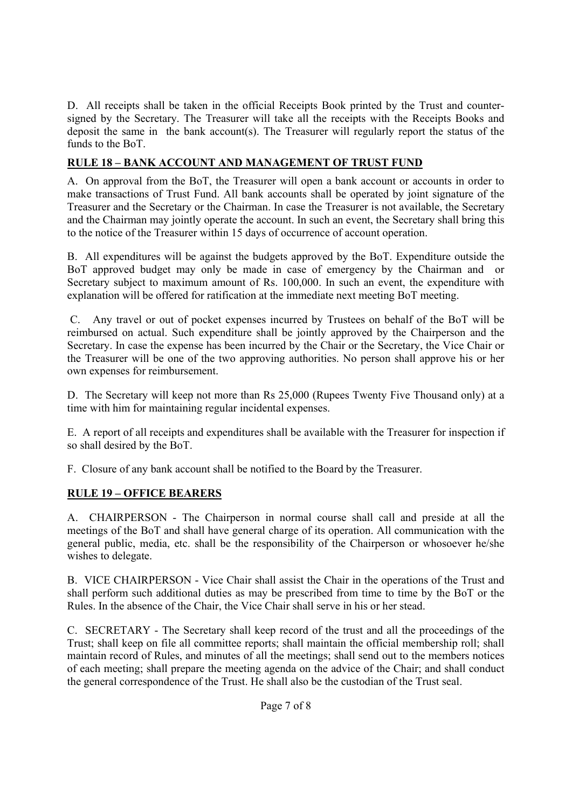D. All receipts shall be taken in the official Receipts Book printed by the Trust and countersigned by the Secretary. The Treasurer will take all the receipts with the Receipts Books and deposit the same in the bank account(s). The Treasurer will regularly report the status of the funds to the BoT.

# **RULE 18 – BANK ACCOUNT AND MANAGEMENT OF TRUST FUND**

A. On approval from the BoT, the Treasurer will open a bank account or accounts in order to make transactions of Trust Fund. All bank accounts shall be operated by joint signature of the Treasurer and the Secretary or the Chairman. In case the Treasurer is not available, the Secretary and the Chairman may jointly operate the account. In such an event, the Secretary shall bring this to the notice of the Treasurer within 15 days of occurrence of account operation.

B. All expenditures will be against the budgets approved by the BoT. Expenditure outside the BoT approved budget may only be made in case of emergency by the Chairman and or Secretary subject to maximum amount of Rs. 100,000. In such an event, the expenditure with explanation will be offered for ratification at the immediate next meeting BoT meeting.

 C. Any travel or out of pocket expenses incurred by Trustees on behalf of the BoT will be reimbursed on actual. Such expenditure shall be jointly approved by the Chairperson and the Secretary. In case the expense has been incurred by the Chair or the Secretary, the Vice Chair or the Treasurer will be one of the two approving authorities. No person shall approve his or her own expenses for reimbursement.

D. The Secretary will keep not more than Rs 25,000 (Rupees Twenty Five Thousand only) at a time with him for maintaining regular incidental expenses.

E. A report of all receipts and expenditures shall be available with the Treasurer for inspection if so shall desired by the BoT.

F. Closure of any bank account shall be notified to the Board by the Treasurer.

## **RULE 19 – OFFICE BEARERS**

A. CHAIRPERSON - The Chairperson in normal course shall call and preside at all the meetings of the BoT and shall have general charge of its operation. All communication with the general public, media, etc. shall be the responsibility of the Chairperson or whosoever he/she wishes to delegate.

B. VICE CHAIRPERSON - Vice Chair shall assist the Chair in the operations of the Trust and shall perform such additional duties as may be prescribed from time to time by the BoT or the Rules. In the absence of the Chair, the Vice Chair shall serve in his or her stead.

C. SECRETARY - The Secretary shall keep record of the trust and all the proceedings of the Trust; shall keep on file all committee reports; shall maintain the official membership roll; shall maintain record of Rules, and minutes of all the meetings; shall send out to the members notices of each meeting; shall prepare the meeting agenda on the advice of the Chair; and shall conduct the general correspondence of the Trust. He shall also be the custodian of the Trust seal.